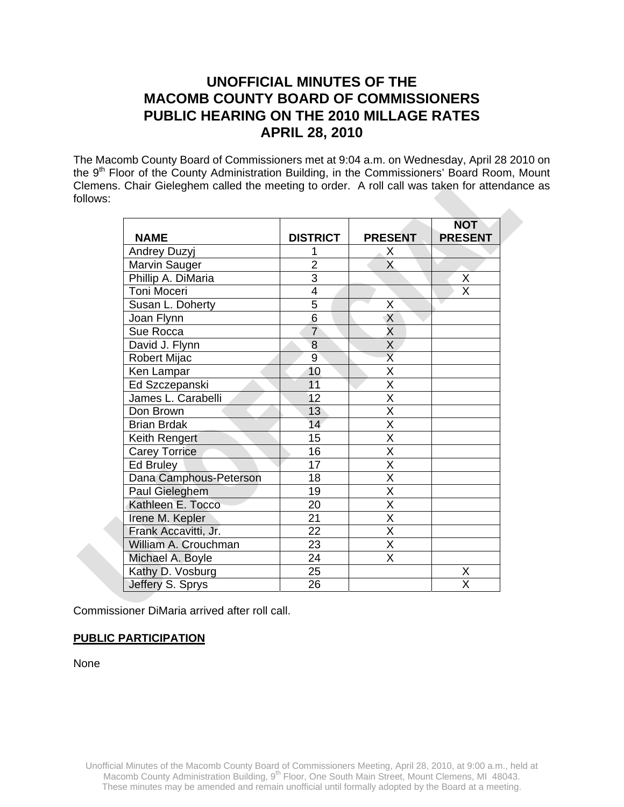# **UNOFFICIAL MINUTES OF THE MACOMB COUNTY BOARD OF COMMISSIONERS PUBLIC HEARING ON THE 2010 MILLAGE RATES APRIL 28, 2010**

The Macomb County Board of Commissioners met at 9:04 a.m. on Wednesday, April 28 2010 on the 9<sup>th</sup> Floor of the County Administration Building, in the Commissioners' Board Room, Mount Clemens. Chair Gieleghem called the meeting to order. A roll call was taken for attendance as follows:

|                        |                 |                         | <b>NOT</b>              |
|------------------------|-----------------|-------------------------|-------------------------|
| <b>NAME</b>            | <b>DISTRICT</b> | <b>PRESENT</b>          | <b>PRESENT</b>          |
| <b>Andrey Duzyj</b>    |                 | X                       |                         |
| Marvin Sauger          | $\overline{2}$  | X                       |                         |
| Phillip A. DiMaria     | $\overline{3}$  |                         | X                       |
| Toni Moceri            | 4               |                         | $\overline{\mathsf{x}}$ |
| Susan L. Doherty       | 5               | Χ                       |                         |
| Joan Flynn             | $\overline{6}$  | $\overline{X}$          |                         |
| Sue Rocca              | $\overline{7}$  | $\overline{\mathsf{x}}$ |                         |
| David J. Flynn         | 8               | $\overline{\mathsf{x}}$ |                         |
| <b>Robert Mijac</b>    | $\overline{9}$  | $\overline{\sf x}$      |                         |
| Ken Lampar             | 10              | $\overline{\mathsf{x}}$ |                         |
| Ed Szczepanski         | 11              | $\overline{\mathsf{x}}$ |                         |
| James L. Carabelli     | 12              | $\overline{\mathsf{x}}$ |                         |
| Don Brown              | 13              | $\overline{\mathsf{x}}$ |                         |
| <b>Brian Brdak</b>     | 14              | $\overline{\mathsf{x}}$ |                         |
| Keith Rengert          | 15              | $\overline{\mathsf{x}}$ |                         |
| <b>Carey Torrice</b>   | 16              | $\overline{\mathsf{x}}$ |                         |
| Ed Bruley              | 17              | $\overline{\mathsf{X}}$ |                         |
| Dana Camphous-Peterson | 18              | $\overline{\mathsf{x}}$ |                         |
| Paul Gieleghem         | 19              | X                       |                         |
| Kathleen E. Tocco      | 20              | $\overline{\mathsf{x}}$ |                         |
| Irene M. Kepler        | 21              | $\overline{\mathsf{x}}$ |                         |
| Frank Accavitti, Jr.   | 22              | X                       |                         |
| William A. Crouchman   | 23              | $\overline{\mathsf{x}}$ |                         |
| Michael A. Boyle       | $\overline{24}$ | $\overline{\mathsf{x}}$ |                         |
| Kathy D. Vosburg       | 25              |                         | Χ                       |
| Jeffery S. Sprys       | 26              |                         | X                       |

Commissioner DiMaria arrived after roll call.

# **PUBLIC PARTICIPATION**

None

Unofficial Minutes of the Macomb County Board of Commissioners Meeting, April 28, 2010, at 9:00 a.m., held at Macomb County Administration Building, 9<sup>th</sup> Floor, One South Main Street, Mount Clemens, MI 48043. These minutes may be amended and remain unofficial until formally adopted by the Board at a meeting.